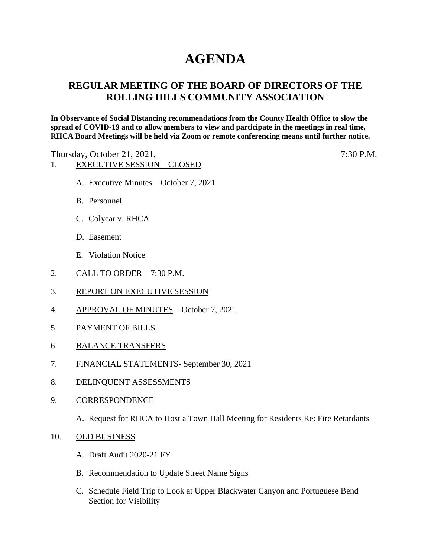# **AGENDA**

# **REGULAR MEETING OF THE BOARD OF DIRECTORS OF THE ROLLING HILLS COMMUNITY ASSOCIATION**

**In Observance of Social Distancing recommendations from the County Health Office to slow the spread of COVID-19 and to allow members to view and participate in the meetings in real time, RHCA Board Meetings will be held via Zoom or remote conferencing means until further notice.** 

Thursday, October 21, 2021, 7:30 P.M. 1. EXECUTIVE SESSION – CLOSED A. Executive Minutes – October 7, 2021 B. Personnel

- 
- C. Colyear v. RHCA
- D. Easement
- E. Violation Notice
- 2. CALL TO ORDER 7:30 P.M.
- 3. REPORT ON EXECUTIVE SESSION
- 4. APPROVAL OF MINUTES October 7, 2021
- 5. PAYMENT OF BILLS
- 6. BALANCE TRANSFERS
- 7. FINANCIAL STATEMENTS- September 30, 2021
- 8. DELINQUENT ASSESSMENTS
- 9. CORRESPONDENCE
	- A. Request for RHCA to Host a Town Hall Meeting for Residents Re: Fire Retardants
- 10. OLD BUSINESS
	- A. Draft Audit 2020-21 FY
	- B. Recommendation to Update Street Name Signs
	- C. Schedule Field Trip to Look at Upper Blackwater Canyon and Portuguese Bend Section for Visibility